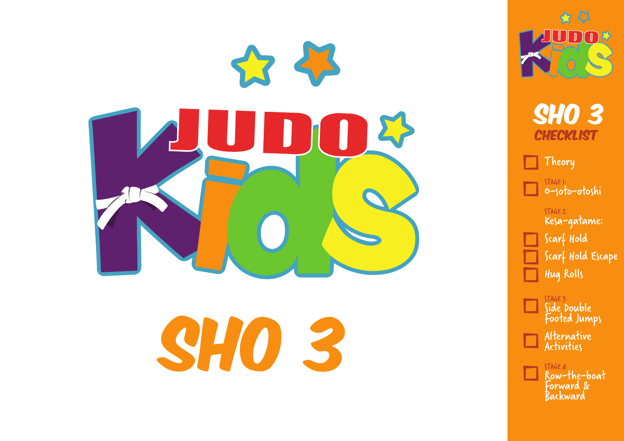

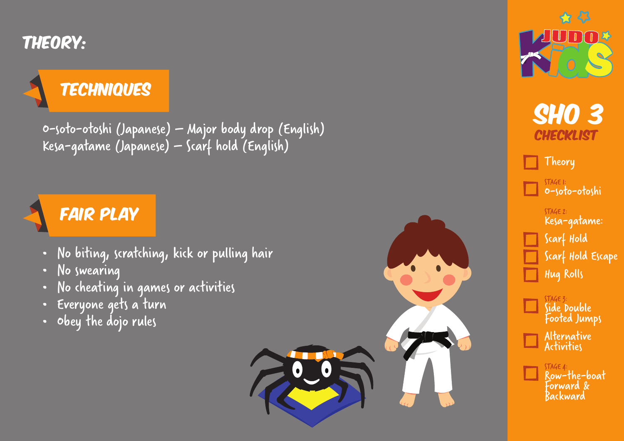Theory:

## **TECHNIQUES**

O-soto-otoshi (Japanese) – Major body drop (English) Kesa-gatame (Japanese) – Scarf hold (English)



- No biting, scratching, kick or pulling hair
- No swearing
- No cheating in games or activities
- Everyone gets a turn
- Obey the dojo rules







Theory

STAGE 1: O-soto-otoshi

STAGE 2: Kesa-gatame:

Scarf Hold Scarf Hold Escape Hug Rolls

STAGE 3: Side Double Footed Jumps Alternative Activities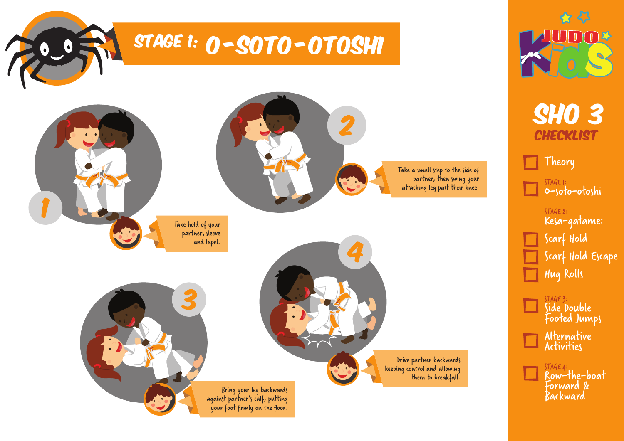

\* 43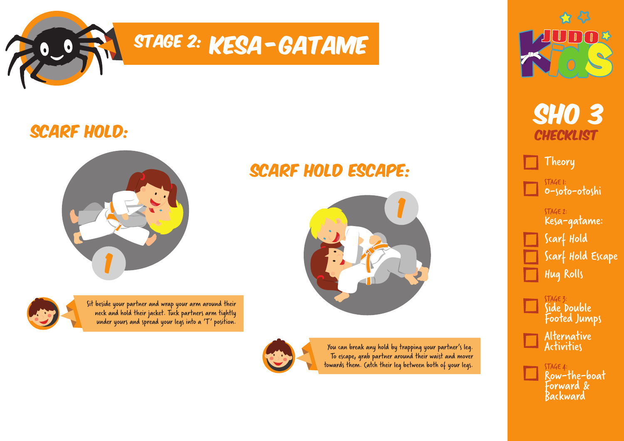

### SCARF HOLD:





Sit beside your partner and wrap your arm around their neck and hold their jacket. Tuck partners arm tightly under yours and spread your legs into a 'T' position.

### SCARF HOLD ESCAPE:





You can break any hold by trapping your partner's leg. To escape, grab partner around their waist and mover towards them. Catch their leg between both of your legs.





Theory

STAGE 1: O-soto-otoshi

STAGE 2: Kesa-gatame:

Scarf Hold Scarf Hold Escape Hug Rolls

STAGE 3: Side Double Footed Jumps Alternative Activities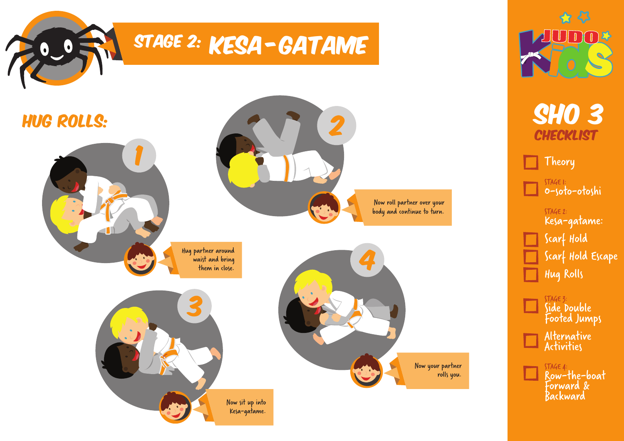



Theory

STAGE 1: O-soto-otoshi

STAGE 2: Kesa-gatame: Scarf Hold

Scarf Hold Escape Hug Rolls

STAGE 3: Side Double Footed Jumps Alternative Activities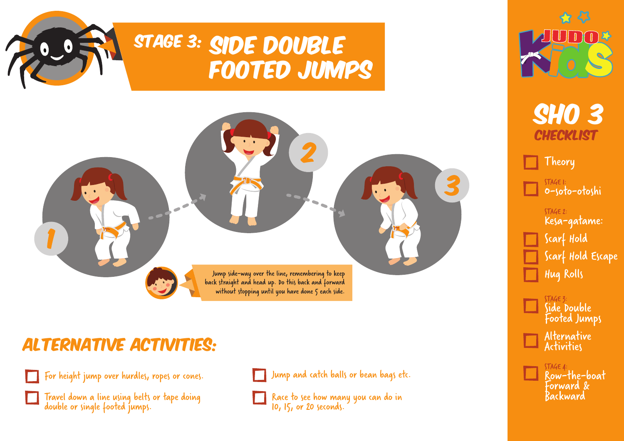# STAGE 3: SIDE DOUBLE Footed Jumps



### Alternative Activities:





Travel down a line using belts or tape doing double or single footed jumps.



Race to see how many you can do in 10, 15, or 20 seconds.



**SHO 3 CHECKLIST** 

Theory

STAGE 1: O-soto-otoshi

STAGE 2: Kesa-gatame:

Scarf Hold Scarf Hold Escape Hug Rolls

STAGE 3: Side Double Footed Jumps Alternative Activities